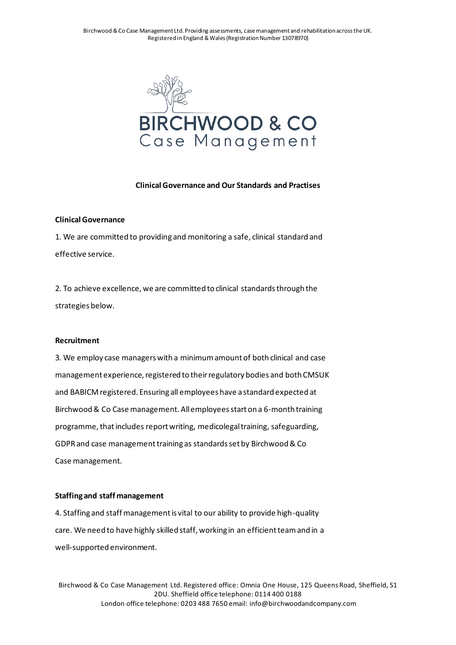Birchwood & Co Case Management Ltd. Providing assessments, case management and rehabilitation across the UK. Registered in England & Wales (Registration Number 13078970)



### **Clinical Governance and Our Standards and Practises**

#### **Clinical Governance**

1. We are committed to providing and monitoring a safe, clinical standard and effective service.

2. To achieve excellence, we are committed to clinical standards through the strategies below.

### **Recruitment**

3. We employ case managers with a minimum amount of both clinical and case management experience, registered to their regulatory bodies and both CMSUK and BABICM registered. Ensuring all employees have a standard expected at Birchwood & Co Case management. All employees start on a 6-month training programme, that includes report writing, medicolegal training, safeguarding, GDPR and case management training as standards set by Birchwood & Co Case management.

## **Staffing and staff management**

4. Staffing and staff management is vital to our ability to provide high-quality care. We need to have highly skilled staff, working in an efficient team and in a well-supported environment.

Birchwood & Co Case Management Ltd. Registered office: Omnia One House, 125 Queens Road, Sheffield, S1 2DU. Sheffield office telephone: 0114 400 0188 London office telephone: 0203 488 7650 email: info@birchwoodandcompany.com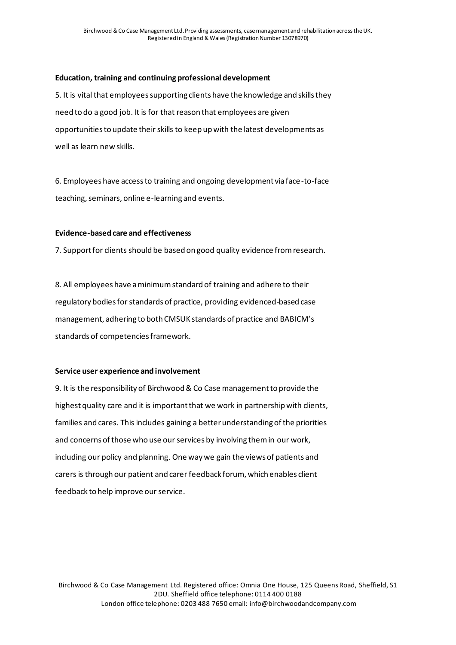# **Education, training and continuing professional development**

5. It is vital that employees supporting clients have the knowledge and skills they need to do a good job. It is for that reason that employees are given opportunities to update their skills to keep up with the latest developments as well as learn new skills.

6. Employees have access to training and ongoing development via face-to-face teaching, seminars, online e-learning and events.

## **Evidence-based care and effectiveness**

7. Support for clients should be based on good quality evidence from research.

8. All employees have a minimum standard of training and adhere to their regulatory bodies for standards of practice, providing evidenced-based case management, adhering to both CMSUK standards of practice and BABICM's standards of competencies framework.

## **Service user experience and involvement**

9. It is the responsibility of Birchwood & Co Case management to provide the highest quality care and it is important that we work in partnership with clients, families and cares. This includes gaining a better understanding of the priorities and concerns of those who use our services by involving them in our work, including our policy and planning. One way we gain the views of patients and carers is through our patient and carer feedback forum, which enables client feedback to help improve our service.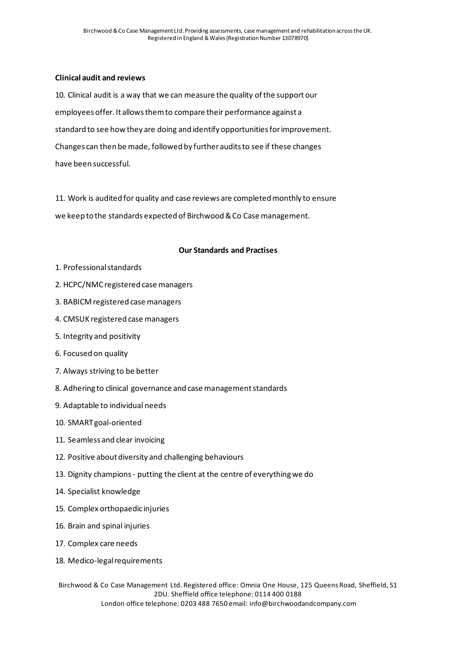# **Clinical audit and reviews**

10. Clinical audit is a way that we can measure the quality of the support our employees offer. It allows them to compare their performance against a standard to see how they are doing and identify opportunities for improvement. Changes can then be made, followed by further audits to see if these changes have been successful.

11. Work is audited for quality and case reviews are completed monthly to ensure we keep to the standards expected of Birchwood & Co Case management.

## **Our Standards and Practises**

- 1. Professional standards
- 2. HCPC/NMC registered case managers
- 3. BABICM registered case managers
- 4. CMSUK registered case managers
- 5. Integrity and positivity
- 6. Focused on quality
- 7. Always striving to be better
- 8. Adhering to clinical governance and case management standards
- 9. Adaptable to individual needs
- 10. SMART goal-oriented
- 11. Seamless and clear invoicing
- 12. Positive about diversity and challenging behaviours
- 13. Dignity champions putting the client at the centre of everything we do
- 14. Specialist knowledge
- 15. Complex orthopaedic injuries
- 16. Brain and spinal injuries
- 17. Complex care needs
- 18. Medico-legal requirements

Birchwood & Co Case Management Ltd. Registered office: Omnia One House, 125 Queens Road, Sheffield, S1 2DU. Sheffield office telephone: 0114 400 0188 London office telephone: 0203 488 7650 email: info@birchwoodandcompany.com